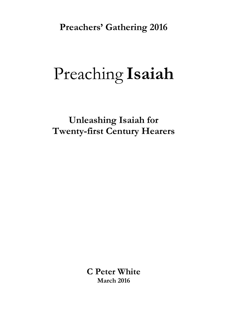**Preachers' Gathering 2016**

# Preaching **Isaiah**

**Unleashing Isaiah for Twenty-first Century Hearers**

> **C Peter White March 2016**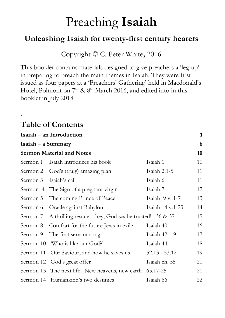## Preaching **Isaiah**

### **Unleashing Isaiah for twenty-first century hearers**

Copyright © C. Peter White**,** 2016

This booklet contains materials designed to give preachers a 'leg-up' in preparing to preach the main themes in Isaiah. They were first issued as four papers at a 'Preachers' Gathering' held in Macdonald's Hotel, Polmont on  $7<sup>th</sup>$  &  $8<sup>th</sup>$  March 2016, and edited into in this booklet in July 2018

### **Table of Contents**

.

| Isaiah – an Introduction         |                                                          |                  | $\mathbf{1}$ |  |
|----------------------------------|----------------------------------------------------------|------------------|--------------|--|
| $Isaiah - a Summary$             |                                                          |                  |              |  |
| <b>Sermon Material and Notes</b> |                                                          |                  |              |  |
| Sermon 1                         | Isaiah introduces his book                               | Isaiah 1         | 10           |  |
|                                  | Sermon 2 God's (truly) amazing plan                      | Isaiah $2:1-5$   | 11           |  |
| Sermon 3                         | Isaiah's call                                            | Isaiah 6         | 11           |  |
|                                  | Sermon 4 The Sign of a pregnant virgin                   | Isaiah 7         | 12           |  |
| Sermon 5                         | The coming Prince of Peace                               | Isaiah $9v. 1-7$ | 13           |  |
| Sermon 6                         | Oracle against Babylon                                   | Isaiah 14 v.1-23 | 14           |  |
| Sermon 7                         | A thrilling rescue – hey, God can be trusted! 36 & 37    |                  | 15           |  |
| Sermon 8                         | Comfort for the future Jews in exile                     | Isaiah 40        | 16           |  |
| Sermon 9                         | The first servant song                                   | Isaiah 42.1-9    | 17           |  |
|                                  | Sermon 10 'Who is like our God?'                         | Isaiah 44        | 18           |  |
|                                  | Sermon 11 Our Saviour, and how he saves us               | $52.13 - 53.12$  | 19           |  |
|                                  | Sermon 12 God's great offer                              | Isaiah ch. 55    | 20           |  |
|                                  | Sermon 13 The next life. New heavens, new earth 65.17-25 |                  | 21           |  |
|                                  | Sermon 14 Humankind's two destinies                      | Isaiah 66        | 22           |  |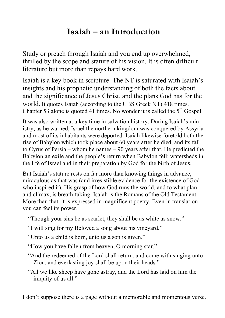### **Isaiah – an Introduction**

Study or preach through Isaiah and you end up overwhelmed, thrilled by the scope and stature of his vision. It is often difficult literature but more than repays hard work.

Isaiah is a key book in scripture. The NT is saturated with Isaiah's insights and his prophetic understanding of both the facts about and the significance of Jesus Christ, and the plans God has for the world. It quotes Isaiah (according to the UBS Greek NT) 418 times. Chapter 53 alone is quoted 41 times. No wonder it is called the  $5<sup>th</sup>$  Gospel.

It was also written at a key time in salvation history. During Isaiah's ministry, as he warned, Israel the northern kingdom was conquered by Assyria and most of its inhabitants were deported. Isaiah likewise foretold both the rise of Babylon which took place about 60 years after he died, and its fall to Cyrus of Persia – whom he names – 90 years after that. He predicted the Babylonian exile and the people's return when Babylon fell: watersheds in the life of Israel and in their preparation by God for the birth of Jesus.

But Isaiah's stature rests on far more than knowing things in advance, miraculous as that was (and irresistible evidence for the existence of God who inspired it). His grasp of how God runs the world, and to what plan and climax, is breath-taking. Isaiah is the Romans of the Old Testament More than that, it is expressed in magnificent poetry. Even in translation you can feel its power.

"Though your sins be as scarlet, they shall be as white as snow."

"I will sing for my Beloved a song about his vineyard."

"Unto us a child is born, unto us a son is given."

"How you have fallen from heaven, O morning star."

"And the redeemed of the Lord shall return, and come with singing unto Zion, and everlasting joy shall be upon their heads."

"All we like sheep have gone astray, and the Lord has laid on him the iniquity of us all."

I don't suppose there is a page without a memorable and momentous verse.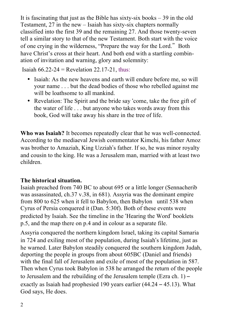It is fascinating that just as the Bible has sixty-six books – 39 in the old Testament, 27 in the new – Isaiah has sixty-six chapters normally classified into the first 39 and the remaining 27. And those twenty-seven tell a similar story to that of the new Testament. Both start with the voice of one crying in the wilderness, "Prepare the way for the Lord." Both have Christ's cross at their heart. And both end with a startling combination of invitation and warning, glory and solemnity:

Isaiah  $66.22-24$  = Revelation 22.17-21, thus:

- Isaiah: As the new heavens and earth will endure before me, so will your name . . . but the dead bodies of those who rebelled against me will be loathsome to all mankind.
- Revelation: The Spirit and the bride say 'come, take the free gift of the water of life . . . but anyone who takes words away from this book, God will take away his share in the tree of life.

**Who was Isaiah?** It becomes repeatedly clear that he was well-connected. According to the mediaeval Jewish commentator Kimchi, his father Amoz was brother to Amaziah, King Uzziah's father. If so, he was minor royalty and cousin to the king. He was a Jerusalem man, married with at least two children.

#### **The historical situation.**

Isaiah preached from 740 BC to about 695 or a little longer (Sennacherib was assassinated, ch.37 v.38, in 681). Assyria was the dominant empire from 800 to 625 when it fell to Babylon, then Babylon until 538 when Cyrus of Persia conquered it (Dan. 5:30f). Both of these events were predicted by Isaiah. See the timeline in the 'Hearing the Word' booklets p.5, and the map there on p.4 and in colour as a separate file.

Assyria conquered the northern kingdom Israel, taking its capital Samaria in 724 and exiling most of the population, during Isaiah's lifetime, just as he warned. Later Babylon steadily conquered the southern kingdom Judah, deporting the people in groups from about 605BC (Daniel and friends) with the final fall of Jerusalem and exile of most of the population in 587. Then when Cyrus took Babylon in 538 he arranged the return of the people to Jerusalem and the rebuilding of the Jerusalem temple (Ezra ch. 1)  $$ exactly as Isaiah had prophesied 190 years earlier (44.24 – 45.13). What God says, He does.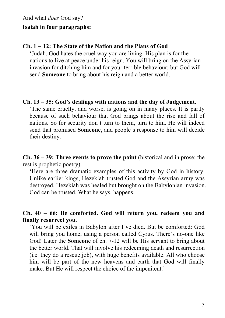#### **Isaiah in four paragraphs:**

#### **Ch. 1** – **12: The State of the Nation and the Plans of God**

'Judah, God hates the cruel way you are living. His plan is for the nations to live at peace under his reign. You will bring on the Assyrian invasion for ditching him and for your terrible behaviour; but God will send **Someone** to bring about his reign and a better world.

#### **Ch. 13 – 35: God's dealings with nations and the day of Judgement.**

'The same cruelty, and worse, is going on in many places. It is partly because of such behaviour that God brings about the rise and fall of nations. So for security don't turn to them, turn to him. He will indeed send that promised **Someone,** and people's response to him will decide their destiny.

**Ch. 36 – 39: Three events to prove the point** (historical and in prose; the rest is prophetic poetry).

'Here are three dramatic examples of this activity by God in history. Unlike earlier kings, Hezekiah trusted God and the Assyrian army was destroyed. Hezekiah was healed but brought on the Babylonian invasion. God can be trusted. What he says, happens.

#### **Ch. 40 – 66: Be comforted. God will return you, redeem you and finally resurrect you.**

'You will be exiles in Babylon after I've died. But be comforted: God will bring you home, using a person called Cyrus. There's no-one like God! Later the **Someone** of ch. 7-12 will be His servant to bring about the better world. That will involve his redeeming death and resurrection (i.e. they do a rescue job), with huge benefits available. All who choose him will be part of the new heavens and earth that God will finally make. But He will respect the choice of the impenitent.'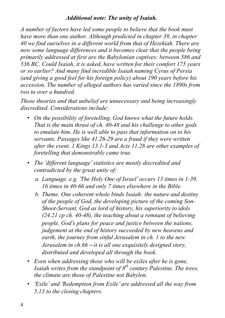#### *Additional note: The unity of Isaiah.*

*A number of factors have led some people to believe that the book must have more than one author. Although predicted in chapter 39, in chapter 40 we find ourselves in a different world from that of Hezekiah. There are now some language differences and it becomes clear that the people being primarily addressed at first are the Babylonian captives: between 586 and 536 BC. Could Isaiah, it is asked, have written for their comfort 175 years or so earlier? And many find incredible Isaiah naming Cyrus of Persia (and giving a good feel for his foreign policy) about 190 years before his accession. The number of alleged authors has varied since the 1890s from two to over a hundred.* 

*Those theories and that unbelief are unnecessary and being increasingly discredited. Considerations include:*

- *On the possibility of foretelling, God knows what the future holds. That is the main thrust of ch. 40-48 and his challenge to other gods to emulate him. He is well able to pass that information on to his servants. Passages like 41.26-29 are a fraud if they were written after the event. 1 Kings 13.1-3 and Acts 11.28 are other examples of foretelling that demonstrably came true.*
- *The* '*different language*' *statistics are mostly discredited and contradicted by the great unity of:*
	- *a. Language. e.g.* '*The Holy One of Israel*' *occurs 13 times in 1-39, 16 times in 40-66 and only 7 times elsewhere in the Bible.*
	- *b. Theme. One coherent whole binds Isaiah: the nature and destiny of the people of God, the developing picture of the coming Son-Shoot-Servant, God as lord of history, his superiority to idols (24.21 cp ch. 40-48), the teaching about a remnant of believing people, God*'*s plans for peace and justice between the nations, judgement at the end of history succeeded by new heavens and earth, the journey from sinful Jerusalem in ch. 1 to the new Jerusalem in ch.66* – *it is all one exquisitely designed story, distributed and developed all through the book.*
- *Even when addressing those who will be exiles after he is gone, Isaiah writes from the standpoint of 8th century Palestine. The trees, the climate are those of Palestine not Babylon.*
- '*Exile*' *and* '*Redemption from Exile*' *are addressed all the way from 5.13 to the closing chapters.*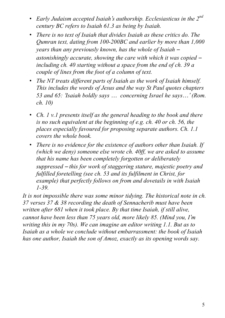- *Early Judaism accepted Isaiah*'*s authorship. Ecclesiasticus in the 2nd century BC refers to Isaiah 61.3 as being by Isaiah.*
- *There is no text of Isaiah that divides Isaiah as these critics do. The Qumran text, dating from 100-200BC and earlier by more than 1,000 years than any previously known, has the whole of Isaiah* – *astonishingly accurate, showing the care with which it was copied* – *including ch. 40 starting without a space from the end of ch. 39 a couple of lines from the foot of a column of text.*
- *The NT treats different parts of Isaiah as the work of Isaiah himself. This includes the words of Jesus and the way St Paul quotes chapters 53 and 65:* '*Isaiah boldly says* … *concerning Israel he says*…' *(Rom. ch. 10)*
- *Ch. 1 v.1 presents itself as the general heading to the book and there is no such equivalent at the beginning of e.g. ch. 40 or ch. 56, the places especially favoured for proposing separate authors. Ch. 1.1 covers the whole book.*
- *There is no evidence for the existence of authors other than Isaiah. If (which we deny) someone else wrote ch. 40ff, we are asked to assume that his name has been completely forgotten or deliberately suppressed* – *this for work of staggering stature, majestic poetry and fulfilled foretelling (see ch. 53 and its fulfilment in Christ, for example) that perfectly follows on from and dovetails in with Isaiah 1-39.*

*It is not impossible there was some minor tidying. The historical note in ch. 37 verses 37 & 38 recording the death of Sennacherib must have been written after 681 when it took place. By that time Isaiah, if still alive, cannot have been less than 75 years old, more likely 85. (Mind you, I*'*m writing this in my 70s). We can imagine an editor writing 1.1. But as to Isaiah as a whole we conclude without embarrassment: the book of Isaiah has one author, Isaiah the son of Amoz, exactly as its opening words say.*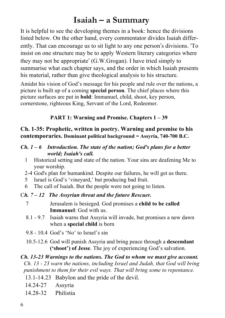### **Isaiah – a Summary**

It is helpful to see the developing themes in a book: hence the divisions listed below. On the other hand, every commentator divides Isaiah differently. That can encourage us to sit light to any one person's divisions. 'To insist on one structure may be to apply Western literary categories where they may not be appropriate' (G.W.Grogan). I have tried simply to summarise what each chapter says, and the order in which Isaiah presents his material, rather than give theological analysis to his structure.

Amidst his vision of God's message for his people and rule over the nations, a picture is built up of a coming **special person**. The chief places where this picture surfaces are put in **bold**: Immanuel, child, shoot, key person, cornerstone, righteous King, Servant of the Lord, Redeemer.

#### **PART 1: Warning and Promise. Chapters 1 – 39**

#### **Ch. 1-35: Prophetic, written in poetry. Warning and promise to his contemporaries. Dominant political background = Assyria, 740-700 B.C.**

#### *Ch. 1 – 6 Introduction. The state of the nation; God's plans for a better world; Isaiah's call.*

- 1 Historical setting and state of the nation. Your sins are deafening Me to your worship.
- 2-4 God's plan for humankind. Despite our failures, he will get us there.
- 5 Israel is God's 'vineyard,' but producing bad fruit.
- 6 The call of Isaiah. But the people were not going to listen.

#### C*h. 7 – 12 The Assyrian threat and the future Rescuer.*

- 7 Jerusalem is besieged. God promises a **child to be called Immanuel**: God with us.
- 8.1 9.7 Isaiah warns that Assyria will invade, but promises a new dawn when a **special child** is born
- 9.8 10.4 God's 'No' to Israel's sin
- 10.5-12.6 God will punish Assyria and bring peace through a **descendant ('shoot') of Jesse**. The joy of experiencing God's salvation.

#### *Ch. 13-23 Warnings to the nations. The God to whom we must give account. Ch. 13 - 23 warn the nations, including Israel and Judah, that God will bring punishment to them for their evil ways. That will bring some to repentance.*

- 13.1-14.23 Babylon and the pride of the devil.
- 14.24-27 Assyria
- 14.28-32 Philistia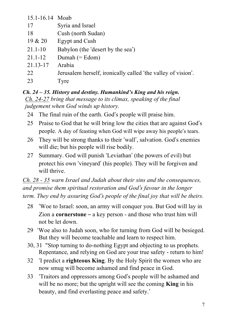| 15.1-16.14 Moab |                                                              |
|-----------------|--------------------------------------------------------------|
| 17              | Syria and Israel                                             |
| 18              | Cush (north Sudan)                                           |
| 19 & 20         | <b>Egypt and Cush</b>                                        |
| $21.1 - 10$     | Babylon (the 'desert by the sea')                            |
| $21.1 - 12$     | Dumah $(=Edom)$                                              |
| 21.13-17        | Arabia                                                       |
| 22              | Jerusalem herself, ironically called 'the valley of vision'. |
| 23              | Tyre                                                         |
|                 |                                                              |

#### *Ch. 24 – 35. History and destiny. Humankind's King and his reign. Ch. 24-27 bring that message to its climax, speaking of the final judgement when God winds up history.*

- 24 The final ruin of the earth. God's people will praise him.
- 25 Praise to God that he will bring low the cities that are against God's people. A day of feasting when God will wipe away his people's tears.
- 26 They will be strong thanks to their 'wall', salvation. God's enemies will die; but his people will rise bodily.
- 27 Summary. God will punish 'Leviathan' (the powers of evil) but protect his own 'vineyard' (his people). They will be forgiven and will thrive.

*Ch. 28 - 35 warn Israel and Judah about their sins and the consequences, and promise them spiritual restoration and God*'*s favour in the longer term. They end by assuring God*'*s people of the final joy that will be theirs.*

- 28 'Woe to Israel: soon, an army will conquer you. But God will lay in Zion a **cornerstone** – a key person - and those who trust him will not be let down.
- 29 'Woe also to Judah soon, who for turning from God will be besieged. But they will become teachable and learn to respect him.
- 30, 31 "Stop turning to do-nothing Egypt and objecting to us prophets. Repentance, and relying on God are your true safety - return to him!
- 32 'I predict a **righteous King**. By the Holy Spirit the women who are now smug will become ashamed and find peace in God.
- 33 'Traitors and oppressors among God's people will be ashamed and will be no more; but the upright will see the coming **King** in his beauty, and find everlasting peace and safety.'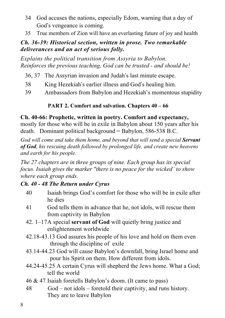- 34 God accuses the nations, especially Edom, warning that a day of God's vengeance is coming.
- 35 True members of Zion will have an everlasting future of joy and health

#### *Ch. 36-39: Historical section, written in prose. Two remarkable deliverances and an act of serious folly.*

*Explains the political transition from Assyria to Babylon. Reinforces the previous teaching, God can be trusted - and should be!*

- 36, 37 The Assyrian invasion and Judah's last minute escape.
- 38 King Hezekiah's earlier illness and God's healing him.
- 39 Ambassadors from Babylon and Hezekiah's momentous stupidity

### **PART 2. Comfort and salvation. Chapters 40 – 66**

#### **Ch. 40-66: Prophetic, written in poetry. Comfort and expectancy,**

mostly for those who will be in exile in Babylon about 150 years after his death.Dominant political background = Babylon, 586-538 B.C.

*God will come and take them home, and beyond that will send a special Servant of God, his rescuing death followed by prolonged life, and create new heavens and earth for his people.* 

*The 27 chapters are in three groups of nine. Each group has its special focus. Isaiah gives the marker "there is no peace for the wicked' to show where each group ends.* 

### *Ch. 40 - 48 The Return under Cyrus*

- 40 Isaiah brings God's comfort for those who will be in exile after he dies
- 41 God tells them in advance that he, not idols, will rescue them from captivity in Babylon
- 42. 1–17A special **servant of God** will quietly bring justice and enlightenment worldwide
- 42.18-43.13 God assures his people of his love and hold on them even through the discipline of exile
- 43.14-44.23 God will cause Babylon's downfall, bring Israel home and pour his Spirit on them. How different from idols.
- 44.24-45.25 A certain Cyrus will shepherd the Jews home. What a God; tell the world
- 46 & 47 Isaiah foretells Babylon's doom. (It came to pass)
- 48 God not idols foretold their captivity, and runs history. They are to leave Babylon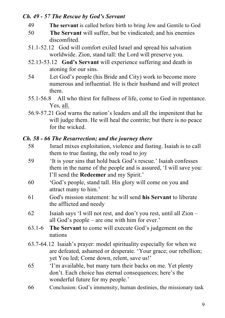#### *Ch. 49 - 57 The Rescue by God's Servant*

- 49 **The servant** is called before birth to bring Jew and Gentile to God
- 50 **The Servant** will suffer, but be vindicated; and his enemies discomfited.
- 51.1-52.12 God will comfort exiled Israel and spread his salvation worldwide. Zion, stand tall: the Lord will preserve you.
- 52.13-53.12 **God's Servant** will experience suffering and death in atoning for our sins.
- 54 Let God's people (his Bride and City) work to become more numerous and influential. He is their husband and will protect them.
- 55.1-56.8 All who thirst for fullness of life, come to God in repentance. Yes, all.
- 56.9-57.21 God warns the nation's leaders and all the impenitent that he will judge them. He will heal the contrite; but there is no peace for the wicked.

#### *Ch. 58 - 66 The Resurrection; and the journey there*

- 58 Israel mixes exploitation, violence and fasting. Isaiah is to call them to true fasting, the only road to joy
- 59 'It is your sins that hold back God's rescue.' Isaiah confesses them in the name of the people and is assured, 'I will save you: I'll send the **Redeemer** and my Spirit.'
- 60 'God's people, stand tall. His glory will come on you and attract many to him.'
- 61 God's mission statement: he will send **his Servant** to liberate the afflicted and needy
- 62 Isaiah says 'I will not rest, and don't you rest, until all Zion all God's people – are one with him for ever.'
- 63.1-6 **The Servant** to come will execute God's judgement on the nations
- 63.7-64.12 Isaiah's prayer: model spirituality especially for when we are defeated, ashamed or desperate. 'Your grace; our rebellion; yet You led; Come down, relent, save us!'
- 65 'I'm available, but many turn their backs on me. Yet plenty don't. Each choice has eternal consequences; here's the wonderful future for my people.'
- 66 Conclusion: God's immensity, human destinies, the missionary task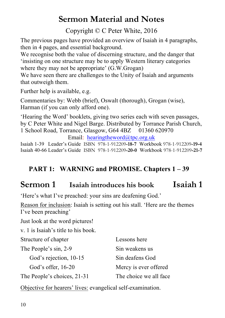### **Sermon Material and Notes**

Copyright © C Peter White, 2016

The previous pages have provided an overview of Isaiah in 4 paragraphs, then in 4 pages, and essential background.

We recognise both the value of discerning structure, and the danger that 'insisting on one structure may be to apply Western literary categories where they may not be appropriate' (G.W.Grogan)

We have seen there are challenges to the Unity of Isaiah and arguments that outweigh them.

Further help is available, e.g.

Commentaries by: Webb (brief), Oswalt (thorough), Grogan (wise), Harman (if you can only afford one).

'Hearing the Word' booklets, giving two series each with seven passages, by C Peter White and Nigel Barge. Distributed by Torrance Parish Church, 1 School Road, Torrance, Glasgow, G64 4BZ 01360 620970

Email: hearingtheword@tpc.org.uk

Isaiah 1-39 Leader's Guide ISBN 978-1-912209**-18-7** Workbook 978-1-912209**-19-4** Isaiah 40-66 Leader's Guide ISBN 978-1-912209**-20-0** Workbook 978-1-912209**-21-7**

### **PART 1: WARNING and PROMISE. Chapters 1 – 39**

### **Sermon 1 Isaiah introduces his book Isaiah 1**

'Here's what I've preached: your sins are deafening God.'

Reason for inclusion: Isaiah is setting out his stall. 'Here are the themes I've been preaching'

Just look at the word pictures!

v. 1 is Isaiah's title to his book.

| Structure of chapter        | Lessons here           |  |
|-----------------------------|------------------------|--|
| The People's sin, 2-9       | Sin weakens us         |  |
| God's rejection, 10-15      | Sin deafens God        |  |
| God's offer, 16-20          | Mercy is ever offered  |  |
| The People's choices, 21-31 | The choice we all face |  |

Objective for hearers' lives: evangelical self-examination.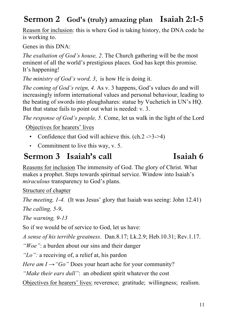### **Sermon 2 God's (truly) amazing plan Isaiah 2:1-5**

Reason for inclusion: this is where God is taking history, the DNA code he is working to.

Genes in this DNA:

*The exaltation of God's house, 2*. The Church gathering will be the most eminent of all the world's prestigious places. God has kept this promise. It's happening!

*The ministry of God's word, 3*, is how He is doing it.

*The coming of God's reign, 4.* As v. 3 happens, God's values do and will increasingly inform international values and personal behaviour, leading to the beating of swords into ploughshares: statue by Vuchetich in UN's HQ. But that statue fails to point out what is needed: v. 3.

*The response of God's people, 5.* Come, let us walk in the light of the Lord Objectives for hearers' lives

• Confidence that God will achieve this.  $(ch.2 -3-24)$ 

• Commitment to live this way, v. 5.

### **Sermon 3 Isaiah's call Isaiah 6**

Reasons for inclusion The immensity of God. The glory of Christ. What makes a prophet. Steps towards spiritual service. Window into Isaiah's *miraculous* transparency to God's plans.

Structure of chapter

*The meeting, 1-4.* (It was Jesus' glory that Isaiah was seeing: John 12.41) *The calling, 5-9***.**

*The warning, 9-13*

So if we would be of service to God, let us have:

*A sense of his terrible greatness*. Dan.8.17; Lk.2.9; Heb.10.31; Rev.1.17.

*"Woe"*: a burden about our sins and their danger

*"Lo":* a receiving of, a relief at, his pardon

*Here am*  $I \rightarrow "Go"$  *Does your heart ache for your community?* 

*"Make their ears dull"*: an obedient spirit whatever the cost

Objectives for hearers' lives: reverence; gratitude; willingness; realism.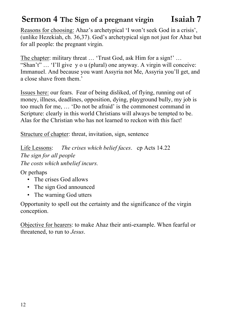### **Sermon 4 The Sign of a pregnant virgin Isaiah 7**

Reasons for choosing: Ahaz's archetypical 'I won't seek God in a crisis', (unlike Hezekiah, ch. 36,37). God's archetypical sign not just for Ahaz but for all people: the pregnant virgin.

The chapter: military threat ... 'Trust God, ask Him for a sign!' ... "Shan't" … 'I'll give y o u (plural) one anyway. A virgin will conceive: Immanuel. And because you want Assyria not Me, Assyria you'll get, and a close shave from them.'

Issues here: our fears. Fear of being disliked, of flying, running out of money, illness, deadlines, opposition, dying, playground bully, my job is too much for me, … 'Do not be afraid' is the commonest command in Scripture: clearly in this world Christians will always be tempted to be. Alas for the Christian who has not learned to reckon with this fact!

Structure of chapter: threat, invitation, sign, sentence

Life Lessons: *The crises which belief faces*. cp Acts 14.22 *The sign for all people The costs which unbelief incurs.*

Or perhaps

- The crises God allows
- The sign God announced
- The warning God utters

Opportunity to spell out the certainty and the significance of the virgin conception.

Objective for hearers: to make Ahaz their anti-example. When fearful or threatened, to run to *Jesus*.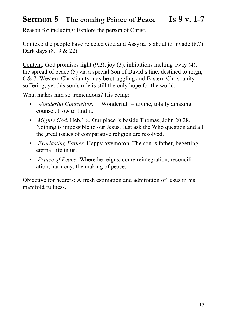### **Sermon 5 The coming Prince of Peace Is 9 v. 1-7**

Reason for including: Explore the person of Christ.

Context: the people have rejected God and Assyria is about to invade (8.7) Dark days (8.19 & 22).

Content: God promises light (9.2), joy (3), inhibitions melting away (4), the spread of peace (5) via a special Son of David's line, destined to reign, 6 & 7. Western Christianity may be struggling and Eastern Christianity suffering, yet this son's rule is still the only hope for the world.

What makes him so tremendous? His being:

- *Wonderful Counsellor.* 'Wonderful' = divine, totally amazing counsel. How to find it.
- *Mighty God*. Heb.1.8. Our place is beside Thomas, John 20.28. Nothing is impossible to our Jesus. Just ask the Who question and all the great issues of comparative religion are resolved.
- *Everlasting Father*. Happy oxymoron. The son is father, begetting eternal life in us.
- *Prince of Peace*. Where he reigns, come reintegration, reconciliation, harmony, the making of peace.

Objective for hearers: A fresh estimation and admiration of Jesus in his manifold fullness.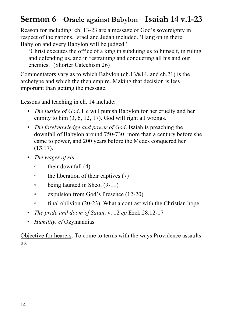### **Sermon 6 Oracle against Babylon Isaiah 14 v.1-23**

Reason for including: ch. 13-23 are a message of God's sovereignty in respect of the nations, Israel and Judah included. 'Hang on in there. Babylon and every Babylon will be judged.'

'Christ executes the office of a king in subduing us to himself, in ruling and defending us, and in restraining and conquering all his and our enemies.' (Shorter Catechism 26)

Commentators vary as to which Babylon (ch.13&14, and ch.21) is the archetype and which the then empire. Making that decision is less important than getting the message.

Lessons and teaching in ch. 14 include:

- *The justice of God*. He will punish Babylon for her cruelty and her enmity to him  $(3, 6, 12, 17)$ . God will right all wrongs.
- *The foreknowledge and power of God*. Isaiah is preaching the downfall of Babylon around 750-730: more than a century before she came to power, and 200 years before the Medes conquered her (**13**.17).
- *The wages of sin.*
	- their downfall (4)
	- the liberation of their captives (7)
	- being taunted in Sheol (9-11)
	- expulsion from God's Presence (12-20)
	- final oblivion (20-23). What a contrast with the Christian hope
- *The pride and doom of Satan*. v. 12 *cp* Ezek.28.12-17
- *Humility. cf* Ozymandias

Objective for hearers. To come to terms with the ways Providence assaults us.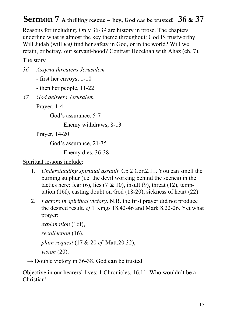### **Sermon 7 A thrilling rescue – hey, God** *can* **be trusted! 36 & 37**

Reasons for including. Only 36-39 are history in prose. The chapters underline what is almost the key theme throughout: God IS trustworthy. Will Judah (will *we)* find her safety in God, or in the world? Will we retain, or betray, our servant-hood? Contrast Hezekiah with Ahaz (ch. 7).

The story

*36 Assyria threatens Jerusalem*

- first her envoys, 1-10

- then her people, 11-22

*37 God delivers Jerusalem*

Prayer, 1-4

God's assurance, 5-7

Enemy withdraws, 8-13

Prayer, 14-20

God's assurance, 21-35

Enemy dies, 36-38

#### Spiritual lessons include:

- 1. *Understanding spiritual assault*. Cp 2 Cor.2.11. You can smell the burning sulphur (i.e. the devil working behind the scenes) in the tactics here: fear (6), lies (7 & 10), insult (9), threat (12), temptation (16f), casting doubt on God (18-20), sickness of heart (22).
- 2. *Factors in spiritual victory*. N.B. the first prayer did not produce the desired result. *cf* 1 Kings 18.42-46 and Mark 8.22-26. Yet what prayer:

*explanation* (16f), *recollection* (16), *plain request* (17 & 20 *cf* Matt.20.32), *vision* (20).

→ Double victory in 36-38. God **can** be trusted

Objective in our hearers' lives: 1 Chronicles. 16.11. Who wouldn't be a Christian!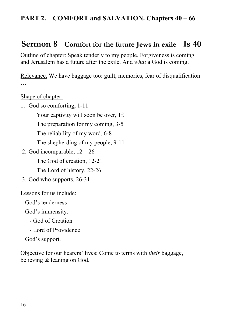### **PART 2. COMFORT and SALVATION. Chapters 40 – 66**

### **Sermon 8 Comfort for the future Jews in exile Is 40**

Outline of chapter: Speak tenderly to my people. Forgiveness is coming and Jerusalem has a future after the exile. And *what* a God is coming.

Relevance. We have baggage too: guilt, memories, fear of disqualification …

Shape of chapter:

1. God so comforting, 1-11

Your captivity will soon be over, 1f.

The preparation for my coming, 3-5

The reliability of my word, 6-8

The shepherding of my people, 9-11

2. God incomparable,  $12 - 26$ 

The God of creation, 12-21

The Lord of history, 22-26

3. God who supports, 26-31

Lessons for us include:

God's tenderness

God's immensity:

- God of Creation
- Lord of Providence

God's support.

Objective for our hearers' lives: Come to terms with *their* baggage, believing & leaning on God.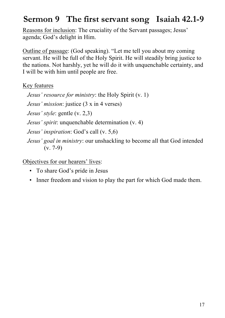### **Sermon 9 The first servant song Isaiah 42.1-9**

Reasons for inclusion: The cruciality of the Servant passages; Jesus' agenda; God's delight in Him.

Outline of passage: (God speaking). "Let me tell you about my coming servant. He will be full of the Holy Spirit. He will steadily bring justice to the nations. Not harshly, yet he will do it with unquenchable certainty, and I will be with him until people are free.

#### Key features

 *Jesus' resource for ministry*: the Holy Spirit (v. 1) *Jesus' mission*: justice (3 x in 4 verses) *Jesus' style*: gentle (v. 2,3) *Jesus' spirit*: unquenchable determination (v. 4) *Jesus' inspiration*: God's call (v. 5,6)

 *Jesus' goal in ministry*: our unshackling to become all that God intended (v. 7-9)

Objectives for our hearers' lives:

- To share God's pride in Jesus
- Inner freedom and vision to play the part for which God made them.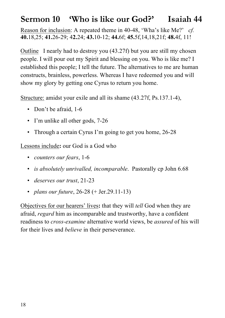### **Sermon 10 'Who is like our God?' Isaiah 44**

Reason for inclusion: A repeated theme in 40-48, 'Wha's like Me?' *cf.* **40.**18,25; **41.**26-29; 4**2.**24; **43.**10-12; **44.**6f; **45.**5f,14,18,21f; **48.**4f, 11!

OutlineI nearly had to destroy you (43.27f) but you are still my chosen people. I will pour out my Spirit and blessing on you. Who is like me? I established this people; I tell the future. The alternatives to me are human constructs, brainless, powerless. Whereas I have redeemed you and will show my glory by getting one Cyrus to return you home.

Structure: amidst your exile and all its shame (43.27f, Ps.137.1-4),

- Don't be afraid, 1-6
- I'm unlike all other gods, 7-26
- Through a certain Cyrus I'm going to get you home, 26-28

Lessons include**:** our God is a God who

- *counters our fears*, 1-6
- *is absolutely unrivalled, incomparable.* Pastorally cp John 6.68
- *deserves our trust*, 21-23
- *plans our future*, 26-28 (+ Jer.29.11-13)

Objectives for our hearers' lives**:** that they will *tell* God when they are afraid, *regard* him as incomparable and trustworthy, have a confident readiness to *cross-examine* alternative world views, be *assured* of his will for their lives and *believe* in their perseverance.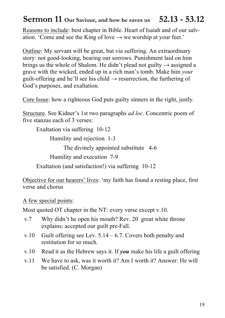### **Sermon 11 Our Saviour, and how he saves us 52.13 - 53.12**

Reasons to include: best chapter in Bible. Heart of Isaiah and of our salvation. 'Come and see the King of love  $\rightarrow$  we worship at your feet.'

Outline: My servant will be great, but via suffering. An extraordinary story: not good-looking, bearing our sorrows. Punishment laid on him brings us the whole of Shalom. He didn't plead not guilty  $\rightarrow$  assigned a grave with the wicked, ended up in a rich man's tomb. Make him *your* guilt-offering and he'll see his child  $\rightarrow$  resurrection, the furthering of God's purposes, and exaltation.

Core Issue: how a righteous God puts guilty sinners in the right, justly.

Structure. See Kidner's 1st two paragraphs *ad loc*. Concentric poem of five stanzas each of 3 verses:

Exaltation via suffering 10-12

Humility and rejection 1-3

The divinely appointed substitute 4-6

Humility and execution 7-9

Exaltation (and satisfaction!) via suffering 10-12

Objective for our hearers' lives: 'my faith has found a resting place, first verse and chorus

A few special points:

Most quoted OT chapter in the NT: every verse except v.10.

- v.7 Why didn't he open his mouth? Rev. 20 great white throne explains: accepted our guilt pre-Fall.
- v.10 Guilt offering see Lev.  $5.14 6.7$ . Covers both penalty and restitution for so much.
- v.10 Read it as the Hebrew says it. If *you* make his life a guilt offering
- v.11 We have to ask, was it worth it? Am I worth it? Answer: He will be satisfied. (C. Morgan)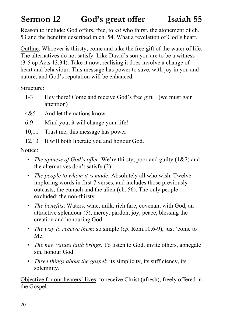## **Sermon 12 God's great offer Isaiah 55**

Reason to include: God offers, free, to *all* who thirst, the atonement of ch. 53 and the benefits described in ch. 54. What a revelation of God's heart.

Outline: Whoever is thirsty, come and take the free gift of the water of life. The alternatives do not satisfy. Like David's son you are to be a witness (3-5 cp Acts 13.34). Take it now, realising it does involve a change of heart and behaviour. This message has power to save, with joy in you and nature; and God's reputation will be enhanced.

Structure:

- 1-3 Hey there! Come and receive God's free gift (we must gain attention)
- 4&5 And let the nations know.
- 6-9 Mind you, it will change your life!
- 10,11 Trust me, this message has power
- 12,13 It will both liberate you and honour God.

Notice:

- *The aptness of God's offer.* We're thirsty, poor and guilty (1&7) and the alternatives don't satisfy (2)
- *The people to whom it is made*: Absolutely all who wish. Twelve imploring words in first 7 verses, and includes those previously outcasts, the eunuch and the alien (ch. 56). The only people excluded: the non-thirsty.
- *The benefits*: Waters, wine, milk, rich fare, covenant with God, an attractive splendour (5), mercy, pardon, joy, peace, blessing the creation and honouring God.
- *The way to receive them*: so simple (*cp.* Rom.10.6-9), just 'come to Me.'
- *The new values faith brings*. To listen to God, invite others, abnegate sin, honour God.
- *Three things about the gospel*: its simplicity, its sufficiency, its solemnity.

Objective for our hearers' lives: to receive Christ (afresh), freely offered in the Gospel.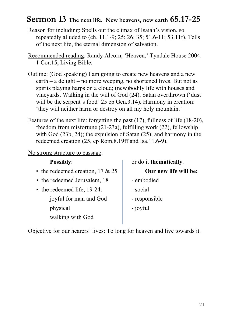### **Sermon 13 The next life. New heavens, new earth 65.17-25**

- Reason for including: Spells out the climax of Isaiah's vision, so repeatedly alluded to (ch. 11.1-9; 25; 26; 35; 51.6-11; 53.11f). Tells of the next life, the eternal dimension of salvation.
- Recommended reading: Randy Alcorn, 'Heaven,' Tyndale House 2004. 1 Cor.15, Living Bible.
- Outline: (God speaking) I am going to create new heavens and a new earth – a delight – no more weeping, no shortened lives. But not as spirits playing harps on a cloud; (new)bodily life with houses and vineyards. Walking in the will of God (24). Satan overthrown ('dust will be the serpent's food' 25 cp Gen. 3.14). Harmony in creation: 'they will neither harm or destroy on all my holy mountain.'
- Features of the next life: forgetting the past (17), fullness of life (18-20), freedom from misfortune (21-23a), fulfilling work (22), fellowship with God (23b, 24); the expulsion of Satan (25); and harmony in the redeemed creation (25, cp Rom.8.19ff and Isa.11.6-9).

No strong structure to passage:

| <b>Possibly:</b>                   | or do it thematically. |
|------------------------------------|------------------------|
| • the redeemed creation, $17 & 25$ | Our new life will be:  |
| • the redeemed Jerusalem, 18       | - embodied             |
| $\cdot$ the redeemed life, 19-24:  | - social               |
| joyful for man and God             | - responsible          |
| physical                           | - joyful               |
| walking with God                   |                        |

Objective for our hearers' lives: To long for heaven and live towards it.